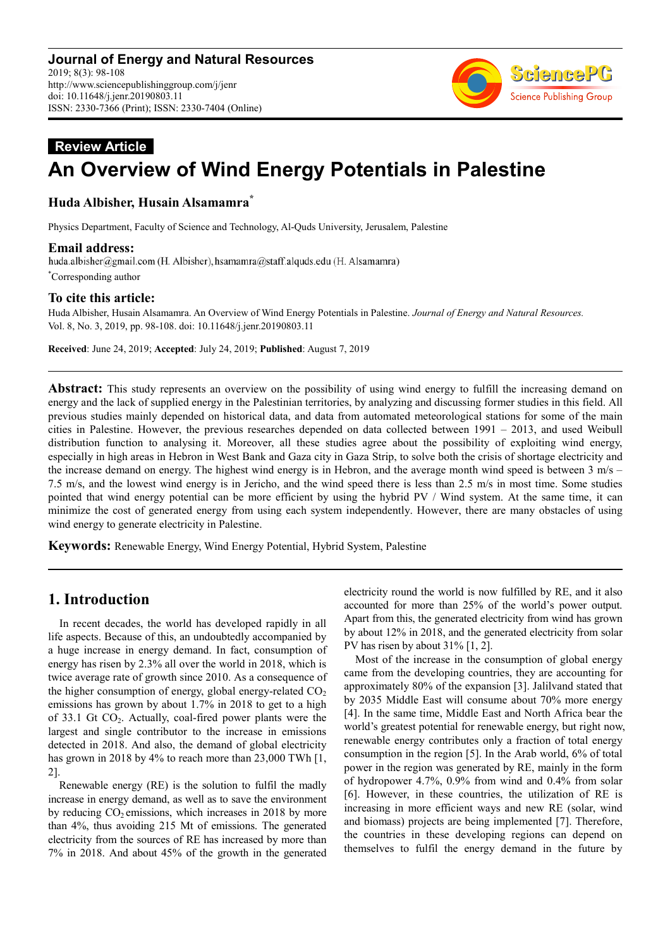

# **Review Article An Overview of Wind Energy Potentials in Palestine**

# **Huda Albisher, Husain Alsamamra\***

Physics Department, Faculty of Science and Technology, Al-Quds University, Jerusalem, Palestine

**Email address:**<br>huda.albisher@gmail.com (H. Albisher), hsamamra@staff.alquds.edu (H. Alsamamra) \*Corresponding author

#### **To cite this article:**

Huda Albisher, Husain Alsamamra. An Overview of Wind Energy Potentials in Palestine. *Journal of Energy and Natural Resources.*  Vol. 8, No. 3, 2019, pp. 98-108. doi: 10.11648/j.jenr.20190803.11

**Received**: June 24, 2019; **Accepted**: July 24, 2019; **Published**: August 7, 2019

**Abstract:** This study represents an overview on the possibility of using wind energy to fulfill the increasing demand on energy and the lack of supplied energy in the Palestinian territories, by analyzing and discussing former studies in this field. All previous studies mainly depended on historical data, and data from automated meteorological stations for some of the main cities in Palestine. However, the previous researches depended on data collected between 1991 – 2013, and used Weibull distribution function to analysing it. Moreover, all these studies agree about the possibility of exploiting wind energy, especially in high areas in Hebron in West Bank and Gaza city in Gaza Strip, to solve both the crisis of shortage electricity and the increase demand on energy. The highest wind energy is in Hebron, and the average month wind speed is between  $3 \text{ m/s}$  – 7.5 m/s, and the lowest wind energy is in Jericho, and the wind speed there is less than 2.5 m/s in most time. Some studies pointed that wind energy potential can be more efficient by using the hybrid PV / Wind system. At the same time, it can minimize the cost of generated energy from using each system independently. However, there are many obstacles of using wind energy to generate electricity in Palestine.

**Keywords:** Renewable Energy, Wind Energy Potential, Hybrid System, Palestine

# **1. Introduction**

In recent decades, the world has developed rapidly in all life aspects. Because of this, an undoubtedly accompanied by a huge increase in energy demand. In fact, consumption of energy has risen by 2.3% all over the world in 2018, which is twice average rate of growth since 2010. As a consequence of the higher consumption of energy, global energy-related  $CO<sub>2</sub>$ emissions has grown by about 1.7% in 2018 to get to a high of 33.1 Gt CO2. Actually, coal-fired power plants were the largest and single contributor to the increase in emissions detected in 2018. And also, the demand of global electricity has grown in 2018 by 4% to reach more than 23,000 TWh [1,] 2].

Renewable energy (RE) is the solution to fulfil the madly increase in energy demand, as well as to save the environment by reducing  $CO<sub>2</sub>$  emissions, which increases in 2018 by more than 4%, thus avoiding 215 Mt of emissions. The generated electricity from the sources of RE has increased by more than 7% in 2018. And about 45% of the growth in the generated electricity round the world is now fulfilled by RE, and it also accounted for more than 25% of the world's power output. Apart from this, the generated electricity from wind has grown by about 12% in 2018, and the generated electricity from solar PV has risen by about 31% [1, 2].

Most of the increase in the consumption of global energy came from the developing countries, they are accounting for approximately 80% of the expansion [3]. Jalilvand stated that by 2035 Middle East will consume about 70% more energy [4]. In the same time, Middle East and North Africa bear the world's greatest potential for renewable energy, but right now, renewable energy contributes only a fraction of total energy consumption in the region [5]. In the Arab world, 6% of total power in the region was generated by RE, mainly in the form of hydropower 4.7%, 0.9% from wind and 0.4% from solar [6]. However, in these countries, the utilization of RE is increasing in more efficient ways and new RE (solar, wind and biomass) projects are being implemented [7]. Therefore, the countries in these developing regions can depend on themselves to fulfil the energy demand in the future by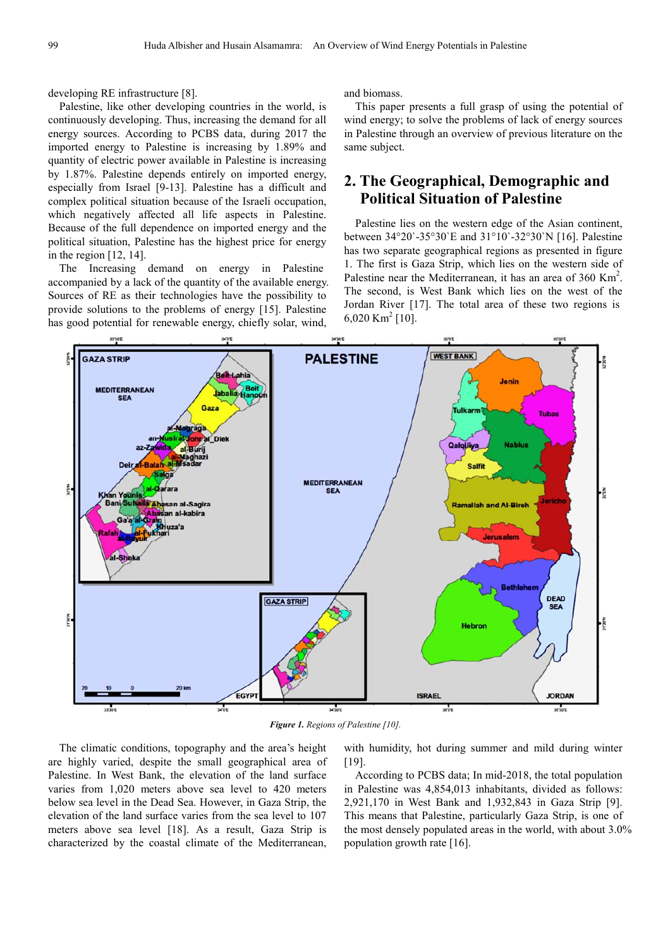developing RE infrastructure [8].

Palestine, like other developing countries in the world, is continuously developing. Thus, increasing the demand for all energy sources. According to PCBS data, during 2017 the imported energy to Palestine is increasing by 1.89% and quantity of electric power available in Palestine is increasing by 1.87%. Palestine depends entirely on imported energy, especially from Israel [9-13]. Palestine has a difficult and complex political situation because of the Israeli occupation, which negatively affected all life aspects in Palestine. Because of the full dependence on imported energy and the political situation, Palestine has the highest price for energy in the region [12, 14].

The Increasing demand on energy in Palestine accompanied by a lack of the quantity of the available energy. Sources of RE as their technologies have the possibility to provide solutions to the problems of energy [15]. Palestine has good potential for renewable energy, chiefly solar, wind,

and biomass.

This paper presents a full grasp of using the potential of wind energy; to solve the problems of lack of energy sources in Palestine through an overview of previous literature on the same subject.

# **2. The Geographical, Demographic and Political Situation of Palestine**

Palestine lies on the western edge of the Asian continent, between 34°20`-35°30`E and 31°10`-32°30`N [16]. Palestine has two separate geographical regions as presented in figure 1. The first is Gaza Strip, which lies on the western side of Palestine near the Mediterranean, it has an area of  $360 \text{ Km}^2$ . The second, is West Bank which lies on the west of the Jordan River [17]. The total area of these two regions is  $6,020$  Km<sup>2</sup> [10].



*Figure 1. Regions of Palestine [10].*

The climatic conditions, topography and the area's height are highly varied, despite the small geographical area of Palestine. In West Bank, the elevation of the land surface varies from 1,020 meters above sea level to 420 meters below sea level in the Dead Sea. However, in Gaza Strip, the elevation of the land surface varies from the sea level to 107 meters above sea level [18]. As a result, Gaza Strip is characterized by the coastal climate of the Mediterranean,

with humidity, hot during summer and mild during winter [19].

According to PCBS data; In mid-2018, the total population in Palestine was 4,854,013 inhabitants, divided as follows: 2,921,170 in West Bank and 1,932,843 in Gaza Strip [9]. This means that Palestine, particularly Gaza Strip, is one of the most densely populated areas in the world, with about 3.0% population growth rate [16].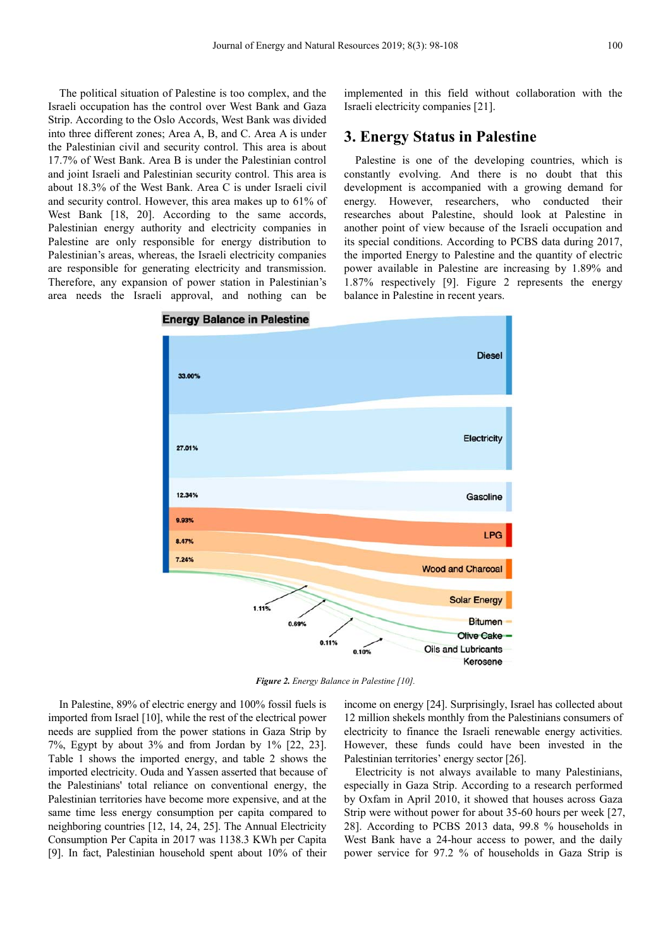The political situation of Palestine is too complex, and the Israeli occupation has the control over West Bank and Gaza Strip. According to the Oslo Accords, West Bank was divided into three different zones; Area A, B, and C. Area A is under the Palestinian civil and security control. This area is about 17.7% of West Bank. Area B is under the Palestinian control and joint Israeli and Palestinian security control. This area is about 18.3% of the West Bank. Area C is under Israeli civil and security control. However, this area makes up to 61% of West Bank [18, 20]. According to the same accords, Palestinian energy authority and electricity companies in Palestine are only responsible for energy distribution to Palestinian's areas, whereas, the Israeli electricity companies are responsible for generating electricity and transmission. Therefore, any expansion of power station in Palestinian's area needs the Israeli approval, and nothing can be

implemented in this field without collaboration with the Israeli electricity companies [21].

# **3. Energy Status in Palestine**

Palestine is one of the developing countries, which is constantly evolving. And there is no doubt that this development is accompanied with a growing demand for energy. However, researchers, who conducted their researches about Palestine, should look at Palestine in another point of view because of the Israeli occupation and its special conditions. According to PCBS data during 2017, the imported Energy to Palestine and the quantity of electric power available in Palestine are increasing by 1.89% and 1.87% respectively [9]. Figure 2 represents the energy balance in Palestine in recent years.



#### **Energy Balance in Palestine**

*Figure 2. Energy Balance in Palestine [10].* 

In Palestine, 89% of electric energy and 100% fossil fuels is imported from Israel [10], while the rest of the electrical power needs are supplied from the power stations in Gaza Strip by 7%, Egypt by about 3% and from Jordan by 1% [22, 23]. Table 1 shows the imported energy, and table 2 shows the imported electricity. Ouda and Yassen asserted that because of the Palestinians' total reliance on conventional energy, the Palestinian territories have become more expensive, and at the same time less energy consumption per capita compared to neighboring countries [12, 14, 24, 25]. The Annual Electricity Consumption Per Capita in 2017 was 1138.3 KWh per Capita [9]. In fact, Palestinian household spent about 10% of their income on energy [24]. Surprisingly, Israel has collected about 12 million shekels monthly from the Palestinians consumers of electricity to finance the Israeli renewable energy activities. However, these funds could have been invested in the Palestinian territories' energy sector [26].

Electricity is not always available to many Palestinians, especially in Gaza Strip. According to a research performed by Oxfam in April 2010, it showed that houses across Gaza Strip were without power for about 35-60 hours per week [27, 28]. According to PCBS 2013 data, 99.8 % households in West Bank have a 24-hour access to power, and the daily power service for 97.2 % of households in Gaza Strip is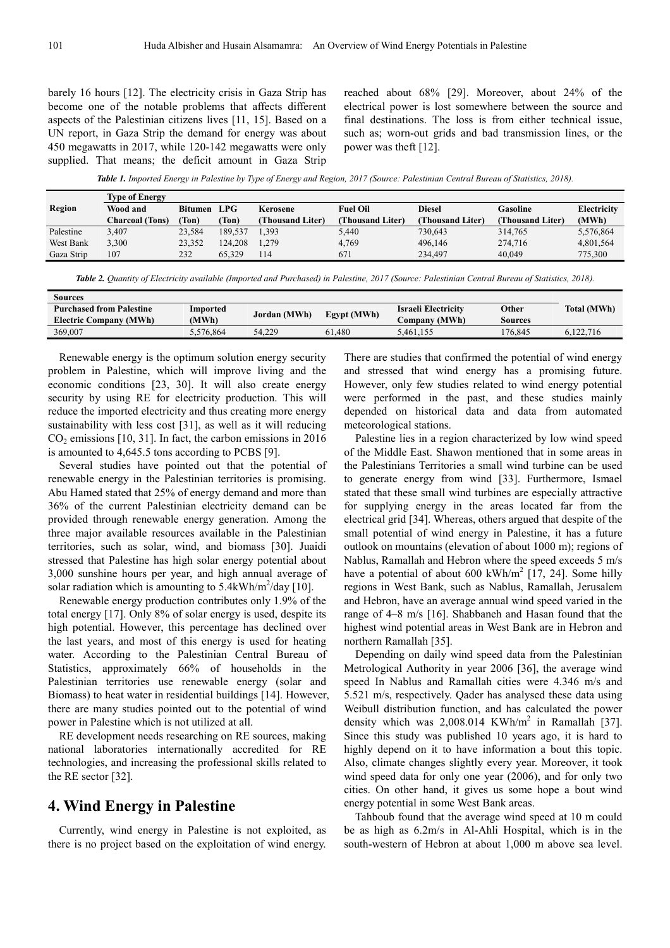barely 16 hours [12]. The electricity crisis in Gaza Strip has become one of the notable problems that affects different aspects of the Palestinian citizens lives [11, 15]. Based on a UN report, in Gaza Strip the demand for energy was about 450 megawatts in 2017, while 120-142 megawatts were only supplied. That means; the deficit amount in Gaza Strip reached about 68% [29]. Moreover, about 24% of the electrical power is lost somewhere between the source and final destinations. The loss is from either technical issue, such as; worn-out grids and bad transmission lines, or the power was theft [12].

*Table 1. Imported Energy in Palestine by Type of Energy and Region, 2017 (Source: Palestinian Central Bureau of Statistics, 2018).* 

|            | <b>Type of Energy</b>  |             |         |                  |                  |                 |                  |             |  |
|------------|------------------------|-------------|---------|------------------|------------------|-----------------|------------------|-------------|--|
| Region     | Wood and               | Bitumen LPG |         | Kerosene         | <b>Fuel Oil</b>  | <b>Diesel</b>   | Gasoline         | Electricity |  |
|            | <b>Charcoal (Tons)</b> | Ton)        | Ton)    | (Thousand Liter) | (Thousand Liter) | Thousand Liter) | (Thousand Liter) | (MWh)       |  |
| Palestine  | 3,407                  | 23.584      | 189.537 | 1.393            | 5,440            | 730.643         | 314,765          | 5,576,864   |  |
| West Bank  | 3,300                  | 23,352      | 124.208 | 1.279            | 4,769            | 496,146         | 274,716          | 4,801,564   |  |
| Gaza Strip | 107                    | 232         | 65.329  | 114              | 671              | 234.497         | 40.049           | 775,300     |  |

*Table 2. Quantity of Electricity available (Imported and Purchased) in Palestine, 2017 (Source: Palestinian Central Bureau of Statistics, 2018).* 

| Sources                         |           |              |             |                       |         |                    |
|---------------------------------|-----------|--------------|-------------|-----------------------|---------|--------------------|
| <b>Purchased from Palestine</b> | Imported  | Jordan (MWh) |             | Israeli Electricity   | Other   | <b>Total (MWh)</b> |
| <b>Electric Company (MWh)</b>   | (MWh)     |              | Egypt (MWh) | C <b>ompany (MWh)</b> | Sources |                    |
| 369,007                         | 5.576.864 | 54.229       | 61,480      | 5.461.155             | 176.845 | 6.122.716          |
|                                 |           |              |             |                       |         |                    |

Renewable energy is the optimum solution energy security problem in Palestine, which will improve living and the economic conditions [23, 30]. It will also create energy security by using RE for electricity production. This will reduce the imported electricity and thus creating more energy sustainability with less cost [31], as well as it will reducing  $CO<sub>2</sub>$  emissions [10, 31]. In fact, the carbon emissions in 2016 is amounted to 4,645.5 tons according to PCBS [9].

Several studies have pointed out that the potential of renewable energy in the Palestinian territories is promising. Abu Hamed stated that 25% of energy demand and more than 36% of the current Palestinian electricity demand can be provided through renewable energy generation. Among the three major available resources available in the Palestinian territories, such as solar, wind, and biomass [30]. Juaidi stressed that Palestine has high solar energy potential about 3,000 sunshine hours per year, and high annual average of solar radiation which is amounting to  $5.4$ kWh/m<sup>2</sup>/day [10].

Renewable energy production contributes only 1.9% of the total energy [17]. Only 8% of solar energy is used, despite its high potential. However, this percentage has declined over the last years, and most of this energy is used for heating water. According to the Palestinian Central Bureau of Statistics, approximately 66% of households in the Palestinian territories use renewable energy (solar and Biomass) to heat water in residential buildings [14]. However, there are many studies pointed out to the potential of wind power in Palestine which is not utilized at all.

RE development needs researching on RE sources, making national laboratories internationally accredited for RE technologies, and increasing the professional skills related to the RE sector [32].

### **4. Wind Energy in Palestine**

Currently, wind energy in Palestine is not exploited, as there is no project based on the exploitation of wind energy.

There are studies that confirmed the potential of wind energy and stressed that wind energy has a promising future. However, only few studies related to wind energy potential were performed in the past, and these studies mainly depended on historical data and data from automated meteorological stations.

Palestine lies in a region characterized by low wind speed of the Middle East. Shawon mentioned that in some areas in the Palestinians Territories a small wind turbine can be used to generate energy from wind [33]. Furthermore, Ismael stated that these small wind turbines are especially attractive for supplying energy in the areas located far from the electrical grid [34]. Whereas, others argued that despite of the small potential of wind energy in Palestine, it has a future outlook on mountains (elevation of about 1000 m); regions of Nablus, Ramallah and Hebron where the speed exceeds 5 m/s have a potential of about  $600 \text{ kWh/m}^2$  [17, 24]. Some hilly regions in West Bank, such as Nablus, Ramallah, Jerusalem and Hebron, have an average annual wind speed varied in the range of 4–8 m/s [16]. Shabbaneh and Hasan found that the highest wind potential areas in West Bank are in Hebron and northern Ramallah [35].

Depending on daily wind speed data from the Palestinian Metrological Authority in year 2006 [36], the average wind speed In Nablus and Ramallah cities were 4.346 m/s and 5.521 m/s, respectively. Qader has analysed these data using Weibull distribution function, and has calculated the power density which was  $2,008.014$  KWh/m<sup>2</sup> in Ramallah [37]. Since this study was published 10 years ago, it is hard to highly depend on it to have information a bout this topic. Also, climate changes slightly every year. Moreover, it took wind speed data for only one year (2006), and for only two cities. On other hand, it gives us some hope a bout wind energy potential in some West Bank areas.

Tahboub found that the average wind speed at 10 m could be as high as 6.2m/s in Al-Ahli Hospital, which is in the south-western of Hebron at about 1,000 m above sea level.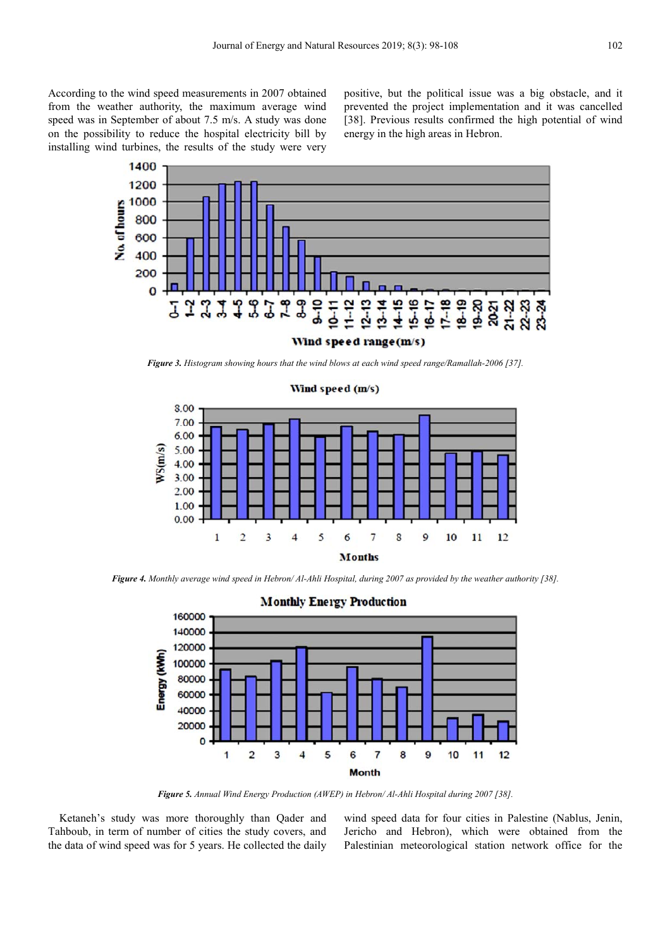According to the wind speed measurements in 2007 obtained from the weather authority, the maximum average wind speed was in September of about 7.5 m/s. A study was done on the possibility to reduce the hospital electricity bill by installing wind turbines, the results of the study were very positive, but the political issue was a big obstacle, and it prevented the project implementation and it was cancelled [38]. Previous results confirmed the high potential of wind energy in the high areas in Hebron.



*Figure 3. Histogram showing hours that the wind blows at each wind speed range/Ramallah-2006 [37].* 



*Figure 4. Monthly average wind speed in Hebron/ Al-Ahli Hospital, during 2007 as provided by the weather authority [38].* 



*Figure 5. Annual Wind Energy Production (AWEP) in Hebron/ Al-Ahli Hospital during 2007 [38].* 

Ketaneh's study was more thoroughly than Qader and Tahboub, in term of number of cities the study covers, and the data of wind speed was for 5 years. He collected the daily wind speed data for four cities in Palestine (Nablus, Jenin, Jericho and Hebron), which were obtained from the Palestinian meteorological station network office for the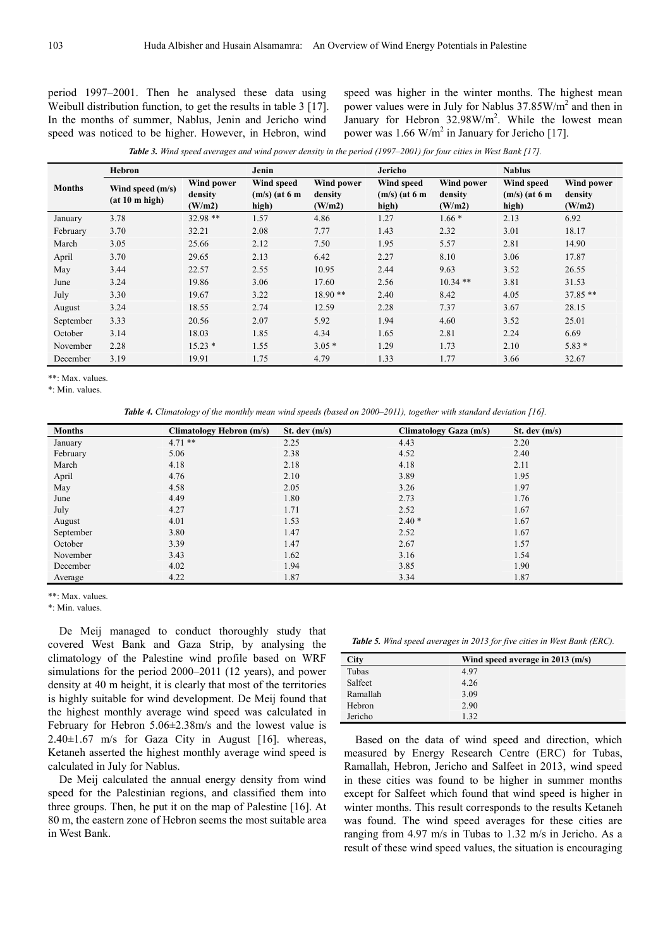period 1997–2001. Then he analysed these data using Weibull distribution function, to get the results in table 3 [17]. In the months of summer, Nablus, Jenin and Jericho wind speed was noticed to be higher. However, in Hebron, wind

speed was higher in the winter months. The highest mean power values were in July for Nablus 37.85W/m<sup>2</sup> and then in January for Hebron  $32.98 \text{W/m}^2$ . While the lowest mean power was  $1.66$  W/m<sup>2</sup> in January for Jericho [17].

*Table 3. Wind speed averages and wind power density in the period (1997–2001) for four cities in West Bank [17].* 

|               | Hebron                             |                                 | Jenin                                  |                                 | Jericho                                |                                 | <b>Nablus</b>                          |                                 |
|---------------|------------------------------------|---------------------------------|----------------------------------------|---------------------------------|----------------------------------------|---------------------------------|----------------------------------------|---------------------------------|
| <b>Months</b> | Wind speed (m/s)<br>(at 10 m high) | Wind power<br>density<br>(W/m2) | Wind speed<br>$(m/s)$ (at 6 m<br>high) | Wind power<br>density<br>(W/m2) | Wind speed<br>$(m/s)$ (at 6 m<br>high) | Wind power<br>density<br>(W/m2) | Wind speed<br>$(m/s)$ (at 6 m<br>high) | Wind power<br>density<br>(W/m2) |
| January       | 3.78                               | $32.98**$                       | 1.57                                   | 4.86                            | 1.27                                   | $1.66*$                         | 2.13                                   | 6.92                            |
| February      | 3.70                               | 32.21                           | 2.08                                   | 7.77                            | 1.43                                   | 2.32                            | 3.01                                   | 18.17                           |
| March         | 3.05                               | 25.66                           | 2.12                                   | 7.50                            | 1.95                                   | 5.57                            | 2.81                                   | 14.90                           |
| April         | 3.70                               | 29.65                           | 2.13                                   | 6.42                            | 2.27                                   | 8.10                            | 3.06                                   | 17.87                           |
| May           | 3.44                               | 22.57                           | 2.55                                   | 10.95                           | 2.44                                   | 9.63                            | 3.52                                   | 26.55                           |
| June          | 3.24                               | 19.86                           | 3.06                                   | 17.60                           | 2.56                                   | $10.34$ **                      | 3.81                                   | 31.53                           |
| July          | 3.30                               | 19.67                           | 3.22                                   | $18.90**$                       | 2.40                                   | 8.42                            | 4.05                                   | $37.85**$                       |
| August        | 3.24                               | 18.55                           | 2.74                                   | 12.59                           | 2.28                                   | 7.37                            | 3.67                                   | 28.15                           |
| September     | 3.33                               | 20.56                           | 2.07                                   | 5.92                            | 1.94                                   | 4.60                            | 3.52                                   | 25.01                           |
| October       | 3.14                               | 18.03                           | 1.85                                   | 4.34                            | 1.65                                   | 2.81                            | 2.24                                   | 6.69                            |
| November      | 2.28                               | $15.23*$                        | 1.55                                   | $3.05*$                         | 1.29                                   | 1.73                            | 2.10                                   | $5.83*$                         |
| December      | 3.19                               | 19.91                           | 1.75                                   | 4.79                            | 1.33                                   | 1.77                            | 3.66                                   | 32.67                           |

\*\*: Max. values.

\*: Min. values.

*Table 4. Climatology of the monthly mean wind speeds (based on 2000–2011), together with standard deviation [16].* 

| <b>Months</b> | <b>Climatology Hebron (m/s)</b> | St. dev $(m/s)$ | <b>Climatology Gaza (m/s)</b> | St. dev $(m/s)$ |
|---------------|---------------------------------|-----------------|-------------------------------|-----------------|
| January       | $4.71**$                        | 2.25            | 4.43                          | 2.20            |
| February      | 5.06                            | 2.38            | 4.52                          | 2.40            |
| March         | 4.18                            | 2.18            | 4.18                          | 2.11            |
| April         | 4.76                            | 2.10            | 3.89                          | 1.95            |
| May           | 4.58                            | 2.05            | 3.26                          | 1.97            |
| June          | 4.49                            | 1.80            | 2.73                          | 1.76            |
| July          | 4.27                            | 1.71            | 2.52                          | 1.67            |
| August        | 4.01                            | 1.53            | $2.40*$                       | 1.67            |
| September     | 3.80                            | 1.47            | 2.52                          | 1.67            |
| October       | 3.39                            | 1.47            | 2.67                          | 1.57            |
| November      | 3.43                            | 1.62            | 3.16                          | 1.54            |
| December      | 4.02                            | 1.94            | 3.85                          | 1.90            |
| Average       | 4.22                            | 1.87            | 3.34                          | 1.87            |

\*\*: Max. values.

\*: Min. values.

De Meij managed to conduct thoroughly study that covered West Bank and Gaza Strip, by analysing the climatology of the Palestine wind profile based on WRF simulations for the period 2000–2011 (12 years), and power density at 40 m height, it is clearly that most of the territories is highly suitable for wind development. De Meij found that the highest monthly average wind speed was calculated in February for Hebron 5.06±2.38m/s and the lowest value is  $2.40\pm1.67$  m/s for Gaza City in August [16]. whereas, Ketaneh asserted the highest monthly average wind speed is calculated in July for Nablus.

De Meij calculated the annual energy density from wind speed for the Palestinian regions, and classified them into three groups. Then, he put it on the map of Palestine [16]. At 80 m, the eastern zone of Hebron seems the most suitable area in West Bank.

|  | <b>Table 5.</b> Wind speed averages in 2013 for five cities in West Bank (ERC). |  |  |  |
|--|---------------------------------------------------------------------------------|--|--|--|
|  |                                                                                 |  |  |  |

| City     | Wind speed average in $2013$ (m/s) |
|----------|------------------------------------|
| Tubas    | 4.97                               |
| Salfeet  | 4.26                               |
| Ramallah | 3.09                               |
| Hebron   | 2.90                               |
| Jericho  | 1.32                               |

Based on the data of wind speed and direction, which measured by Energy Research Centre (ERC) for Tubas, Ramallah, Hebron, Jericho and Salfeet in 2013, wind speed in these cities was found to be higher in summer months except for Salfeet which found that wind speed is higher in winter months. This result corresponds to the results Ketaneh was found. The wind speed averages for these cities are ranging from 4.97 m/s in Tubas to 1.32 m/s in Jericho. As a result of these wind speed values, the situation is encouraging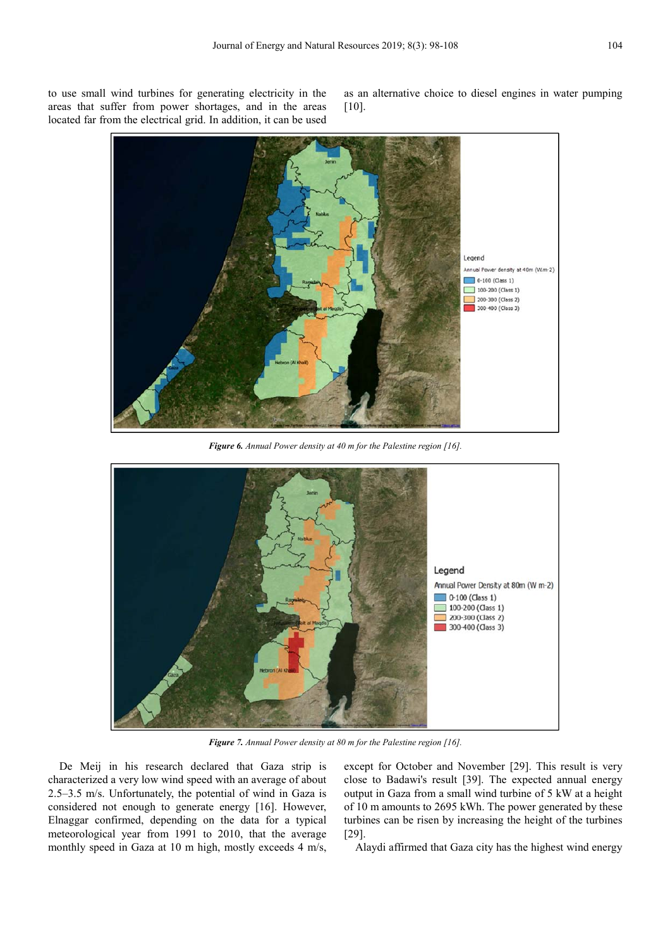to use small wind turbines for generating electricity in the areas that suffer from power shortages, and in the areas located far from the electrical grid. In addition, it can be used as an alternative choice to diesel engines in water pumping [10].



*Figure 6. Annual Power density at 40 m for the Palestine region [16].* 



*Figure 7. Annual Power density at 80 m for the Palestine region [16].* 

De Meij in his research declared that Gaza strip is characterized a very low wind speed with an average of about 2.5–3.5 m/s. Unfortunately, the potential of wind in Gaza is considered not enough to generate energy [16]. However, Elnaggar confirmed, depending on the data for a typical meteorological year from 1991 to 2010, that the average monthly speed in Gaza at 10 m high, mostly exceeds 4 m/s,

except for October and November [29]. This result is very close to Badawi's result [39]. The expected annual energy output in Gaza from a small wind turbine of 5 kW at a height of 10 m amounts to 2695 kWh. The power generated by these turbines can be risen by increasing the height of the turbines [29].

Alaydi affirmed that Gaza city has the highest wind energy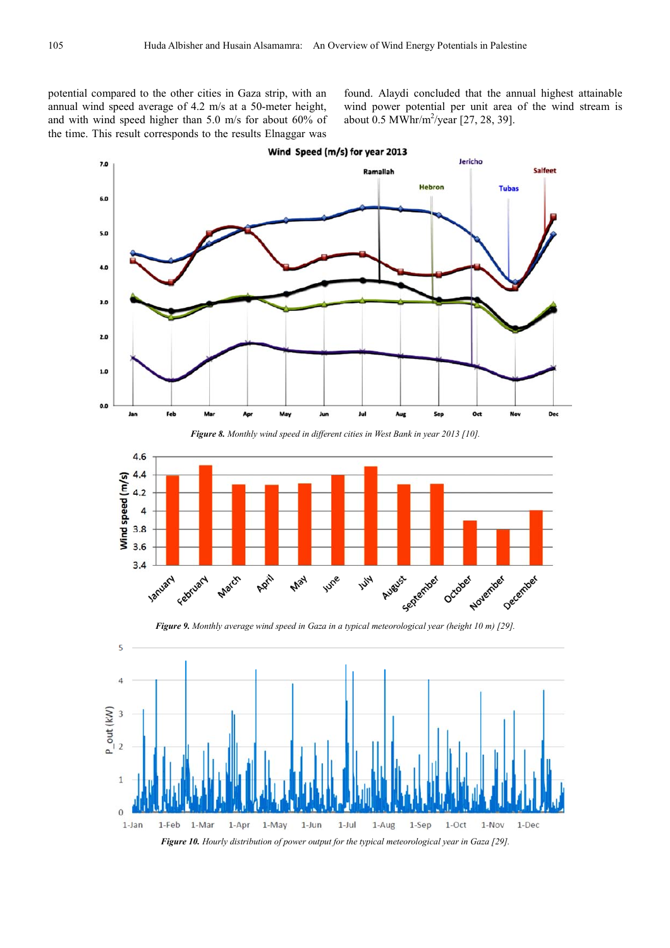potential compared to the other cities in Gaza strip, with an annual wind speed average of 4.2 m/s at a 50-meter height, and with wind speed higher than 5.0 m/s for about 60% of the time. This result corresponds to the results Elnaggar was

found. Alaydi concluded that the annual highest attainable wind power potential per unit area of the wind stream is about  $0.5 \text{ MWhr/m}^2/\text{year}$  [27, 28, 39].



*Figure 8. Monthly wind speed in different cities in West Bank in year 2013 [10].* 



*Figure 9. Monthly average wind speed in Gaza in a typical meteorological year (height 10 m) [29].*

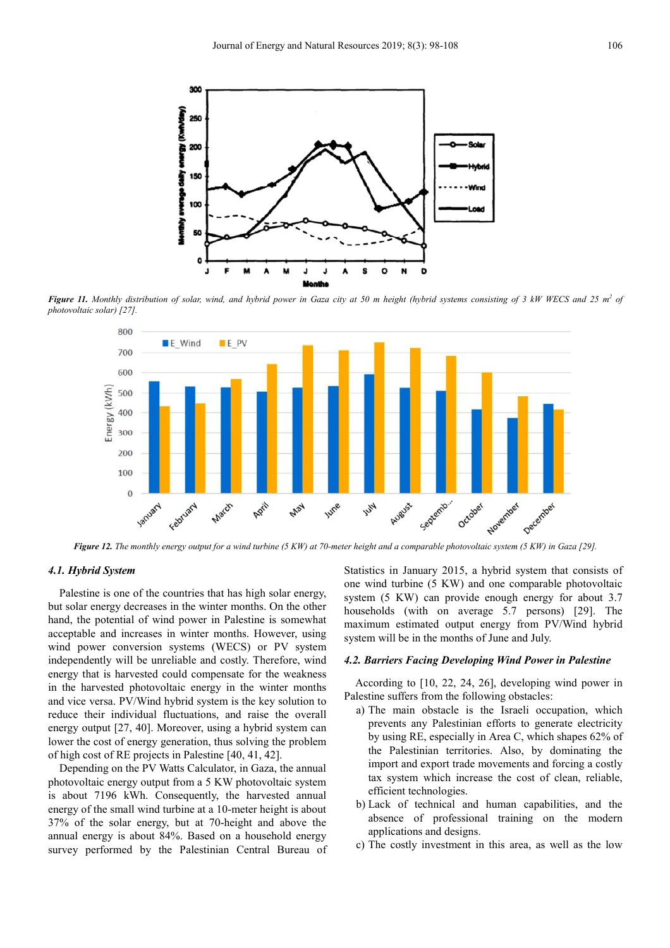

*Figure 11. Monthly distribution of solar, wind, and hybrid power in Gaza city at 50 m height (hybrid systems consisting of 3 kW WECS and 25 m<sup>2</sup> of photovoltaic solar) [27].* 



*Figure 12. The monthly energy output for a wind turbine (5 KW) at 70-meter height and a comparable photovoltaic system (5 KW) in Gaza [29].* 

#### *4.1. Hybrid System*

Palestine is one of the countries that has high solar energy, but solar energy decreases in the winter months. On the other hand, the potential of wind power in Palestine is somewhat acceptable and increases in winter months. However, using wind power conversion systems (WECS) or PV system independently will be unreliable and costly. Therefore, wind energy that is harvested could compensate for the weakness in the harvested photovoltaic energy in the winter months and vice versa. PV/Wind hybrid system is the key solution to reduce their individual fluctuations, and raise the overall energy output [27, 40]. Moreover, using a hybrid system can lower the cost of energy generation, thus solving the problem of high cost of RE projects in Palestine [40, 41, 42].

Depending on the PV Watts Calculator, in Gaza, the annual photovoltaic energy output from a 5 KW photovoltaic system is about 7196 kWh. Consequently, the harvested annual energy of the small wind turbine at a 10-meter height is about 37% of the solar energy, but at 70-height and above the annual energy is about 84%. Based on a household energy survey performed by the Palestinian Central Bureau of Statistics in January 2015, a hybrid system that consists of one wind turbine (5 KW) and one comparable photovoltaic system (5 KW) can provide enough energy for about 3.7 households (with on average 5.7 persons) [29]. The maximum estimated output energy from PV/Wind hybrid system will be in the months of June and July.

#### *4.2. Barriers Facing Developing Wind Power in Palestine*

According to [10, 22, 24, 26], developing wind power in Palestine suffers from the following obstacles:

- a) The main obstacle is the Israeli occupation, which prevents any Palestinian efforts to generate electricity by using RE, especially in Area C, which shapes 62% of the Palestinian territories. Also, by dominating the import and export trade movements and forcing a costly tax system which increase the cost of clean, reliable, efficient technologies.
- b) Lack of technical and human capabilities, and the absence of professional training on the modern applications and designs.
- c) The costly investment in this area, as well as the low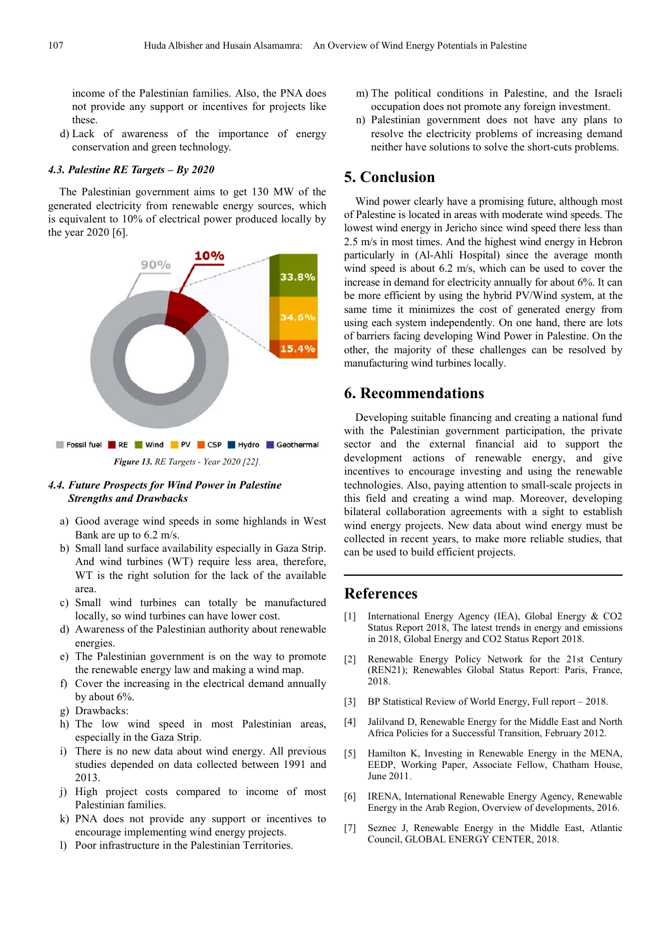income of the Palestinian families. Also, the PNA does not provide any support or incentives for projects like these.

d) Lack of awareness of the importance of energy conservation and green technology.

#### *4.3. Palestine RE Targets – By 2020*

The Palestinian government aims to get 130 MW of the generated electricity from renewable energy sources, which is equivalent to 10% of electrical power produced locally by the year 2020 [6].



#### *4.4. Future Prospects for Wind Power in Palestine Strengths and Drawbacks*

- a) Good average wind speeds in some highlands in West Bank are up to 6.2 m/s.
- b) Small land surface availability especially in Gaza Strip. And wind turbines (WT) require less area, therefore, WT is the right solution for the lack of the available area.
- c) Small wind turbines can totally be manufactured locally, so wind turbines can have lower cost.
- d) Awareness of the Palestinian authority about renewable energies.
- e) The Palestinian government is on the way to promote the renewable energy law and making a wind map.
- f) Cover the increasing in the electrical demand annually by about 6%.
- g) Drawbacks:
- h) The low wind speed in most Palestinian areas, especially in the Gaza Strip.
- i) There is no new data about wind energy. All previous studies depended on data collected between 1991 and 2013.
- j) High project costs compared to income of most Palestinian families.
- k) PNA does not provide any support or incentives to encourage implementing wind energy projects.
- l) Poor infrastructure in the Palestinian Territories.
- m) The political conditions in Palestine, and the Israeli occupation does not promote any foreign investment.
- n) Palestinian government does not have any plans to resolve the electricity problems of increasing demand neither have solutions to solve the short-cuts problems.

#### **5. Conclusion**

Wind power clearly have a promising future, although most of Palestine is located in areas with moderate wind speeds. The lowest wind energy in Jericho since wind speed there less than 2.5 m/s in most times. And the highest wind energy in Hebron particularly in (Al-Ahli Hospital) since the average month wind speed is about 6.2 m/s, which can be used to cover the increase in demand for electricity annually for about 6%. It can be more efficient by using the hybrid PV/Wind system, at the same time it minimizes the cost of generated energy from using each system independently. On one hand, there are lots of barriers facing developing Wind Power in Palestine. On the other, the majority of these challenges can be resolved by manufacturing wind turbines locally.

# **6. Recommendations**

Developing suitable financing and creating a national fund with the Palestinian government participation, the private sector and the external financial aid to support the development actions of renewable energy, and give incentives to encourage investing and using the renewable technologies. Also, paying attention to small-scale projects in this field and creating a wind map. Moreover, developing bilateral collaboration agreements with a sight to establish wind energy projects. New data about wind energy must be collected in recent years, to make more reliable studies, that can be used to build efficient projects.

## **References**

- [1] International Energy Agency (IEA), Global Energy & CO2 Status Report 2018, The latest trends in energy and emissions in 2018, Global Energy and CO2 Status Report 2018.
- [2] Renewable Energy Policy Network for the 21st Century (REN21); Renewables Global Status Report: Paris, France, 2018.
- [3] BP Statistical Review of World Energy, Full report 2018.
- [4] Jalilvand D, Renewable Energy for the Middle East and North Africa Policies for a Successful Transition, February 2012.
- [5] Hamilton K, Investing in Renewable Energy in the MENA, EEDP, Working Paper, Associate Fellow, Chatham House, June 2011.
- [6] IRENA, International Renewable Energy Agency, Renewable Energy in the Arab Region, Overview of developments, 2016.
- [7] Seznec J, Renewable Energy in the Middle East, Atlantic Council, GLOBAL ENERGY CENTER, 2018.